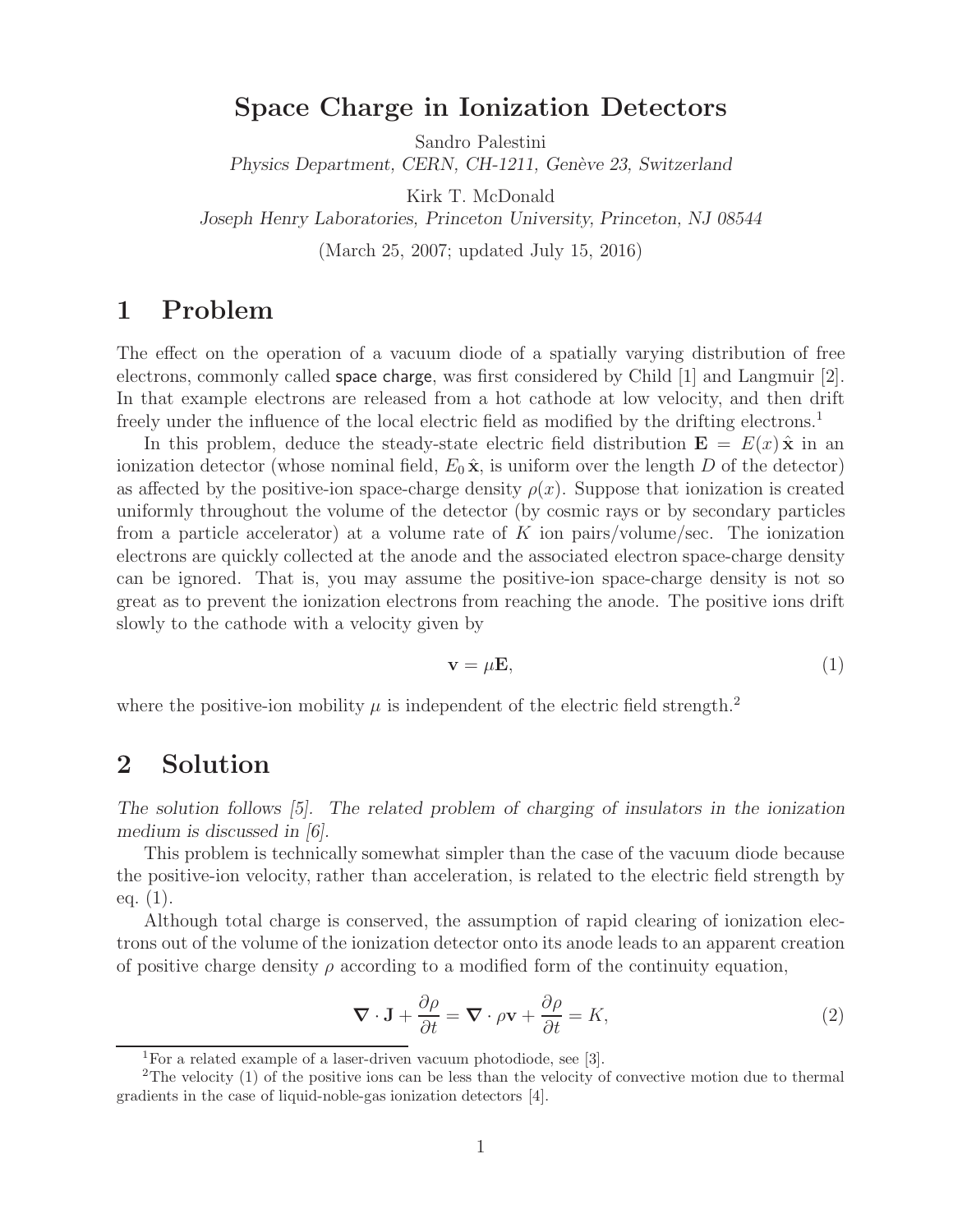# **Space Charge in Ionization Detectors**

Sandro Palestini

*Physics Department, CERN, CH-1211, Genève 23, Switzerland* 

Kirk T. McDonald

*Joseph Henry Laboratories, Princeton University, Princeton, NJ 08544*

(March 25, 2007; updated July 15, 2016)

# **1 Problem**

The effect on the operation of a vacuum diode of a spatially varying distribution of free electrons, commonly called space charge, was first considered by Child [1] and Langmuir [2]. In that example electrons are released from a hot cathode at low velocity, and then drift freely under the influence of the local electric field as modified by the drifting electrons.<sup>1</sup>

In this problem, deduce the steady-state electric field distribution  $\mathbf{E} = E(x) \hat{\mathbf{x}}$  in an ionization detector (whose nominal field,  $E_0 \hat{\mathbf{x}}$ , is uniform over the length D of the detector) as affected by the positive-ion space-charge density  $\rho(x)$ . Suppose that ionization is created uniformly throughout the volume of the detector (by cosmic rays or by secondary particles from a particle accelerator) at a volume rate of K ion pairs/volume/sec. The ionization electrons are quickly collected at the anode and the associated electron space-charge density can be ignored. That is, you may assume the positive-ion space-charge density is not so great as to prevent the ionization electrons from reaching the anode. The positive ions drift slowly to the cathode with a velocity given by

$$
\mathbf{v} = \mu \mathbf{E},\tag{1}
$$

where the positive-ion mobility  $\mu$  is independent of the electric field strength.<sup>2</sup>

### **2 Solution**

*The solution follows [5]. The related problem of charging of insulators in the ionization medium is discussed in [6].*

This problem is technically somewhat simpler than the case of the vacuum diode because the positive-ion velocity, rather than acceleration, is related to the electric field strength by eq.  $(1)$ .

Although total charge is conserved, the assumption of rapid clearing of ionization electrons out of the volume of the ionization detector onto its anode leads to an apparent creation of positive charge density  $\rho$  according to a modified form of the continuity equation,

$$
\nabla \cdot \mathbf{J} + \frac{\partial \rho}{\partial t} = \nabla \cdot \rho \mathbf{v} + \frac{\partial \rho}{\partial t} = K,
$$
\n(2)

<sup>1</sup>For a related example of a laser-driven vacuum photodiode, see [3].

<sup>2</sup>The velocity (1) of the positive ions can be less than the velocity of convective motion due to thermal gradients in the case of liquid-noble-gas ionization detectors [4].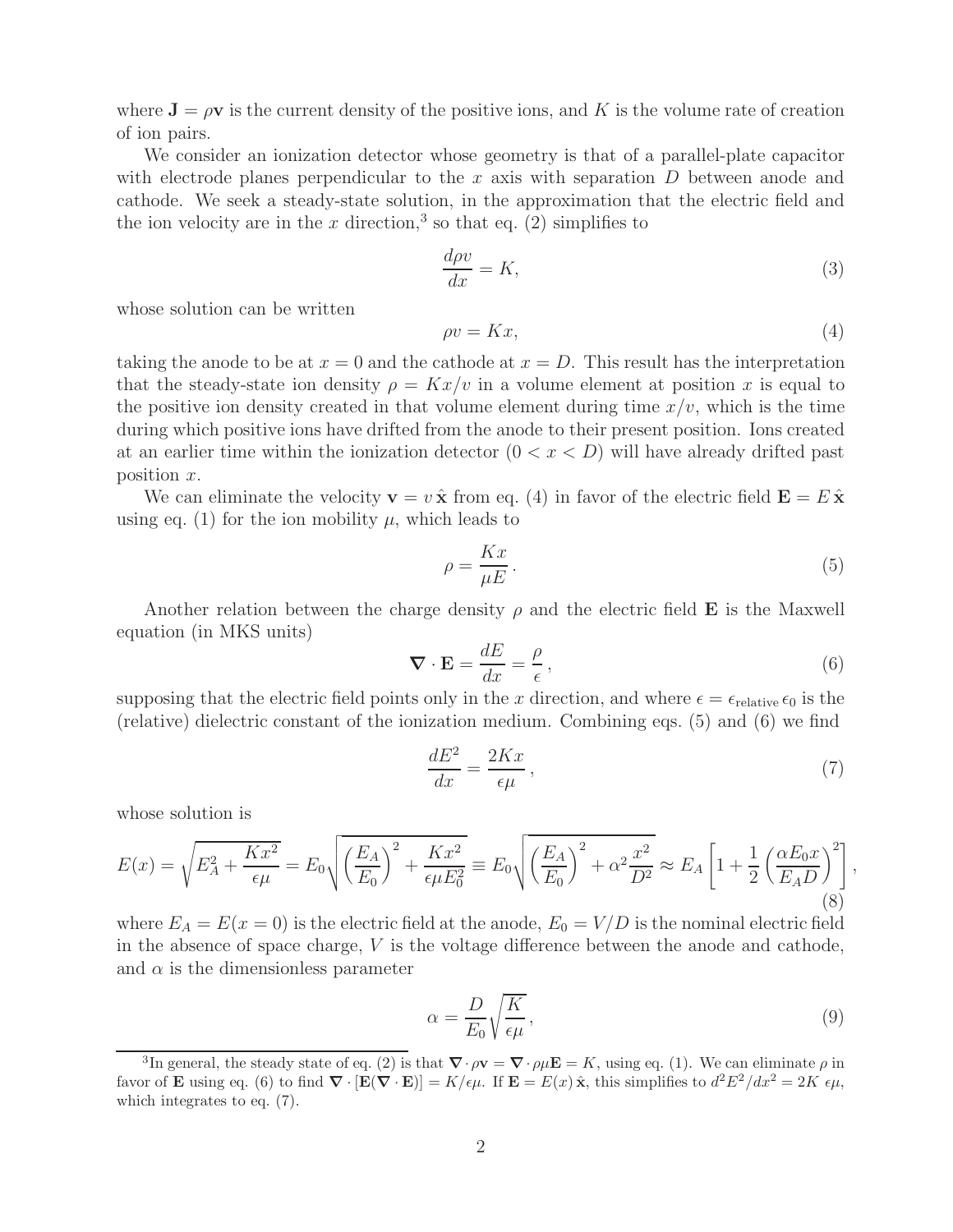where  $J = \rho v$  is the current density of the positive ions, and K is the volume rate of creation of ion pairs.

We consider an ionization detector whose geometry is that of a parallel-plate capacitor with electrode planes perpendicular to the  $x$  axis with separation  $D$  between anode and cathode. We seek a steady-state solution, in the approximation that the electric field and the ion velocity are in the x direction,<sup>3</sup> so that eq. (2) simplifies to

$$
\frac{d\rho v}{dx} = K,\t\t(3)
$$

whose solution can be written

$$
\rho v = Kx,\tag{4}
$$

taking the anode to be at  $x = 0$  and the cathode at  $x = D$ . This result has the interpretation that the steady-state ion density  $\rho = Kx/v$  in a volume element at position x is equal to the positive ion density created in that volume element during time  $x/v$ , which is the time during which positive ions have drifted from the anode to their present position. Ions created at an earlier time within the ionization detector  $(0 < x < D)$  will have already drifted past position x.

We can eliminate the velocity  $\mathbf{v} = v \hat{\mathbf{x}}$  from eq. (4) in favor of the electric field  $\mathbf{E} = E \hat{\mathbf{x}}$ using eq. (1) for the ion mobility  $\mu$ , which leads to

$$
\rho = \frac{Kx}{\mu E}.\tag{5}
$$

Another relation between the charge density  $\rho$  and the electric field **E** is the Maxwell equation (in MKS units)

$$
\nabla \cdot \mathbf{E} = \frac{dE}{dx} = \frac{\rho}{\epsilon},\tag{6}
$$

supposing that the electric field points only in the x direction, and where  $\epsilon = \epsilon_{\text{relative}} \epsilon_0$  is the (relative) dielectric constant of the ionization medium. Combining eqs. (5) and (6) we find

$$
\frac{dE^2}{dx} = \frac{2Kx}{\epsilon\mu},\tag{7}
$$

whose solution is

$$
E(x) = \sqrt{E_A^2 + \frac{Kx^2}{\epsilon \mu}} = E_0 \sqrt{\left(\frac{E_A}{E_0}\right)^2 + \frac{Kx^2}{\epsilon \mu E_0^2}} \equiv E_0 \sqrt{\left(\frac{E_A}{E_0}\right)^2 + \alpha^2 \frac{x^2}{D^2}} \approx E_A \left[1 + \frac{1}{2} \left(\frac{\alpha E_0 x}{E_A D}\right)^2\right],
$$
\n(8)

where  $E_A = E(x = 0)$  is the electric field at the anode,  $E_0 = V/D$  is the nominal electric field in the absence of space charge, V is the voltage difference between the anode and cathode, and  $\alpha$  is the dimensionless parameter

$$
\alpha = \frac{D}{E_0} \sqrt{\frac{K}{\epsilon \mu}},\tag{9}
$$

<sup>&</sup>lt;sup>3</sup>In general, the steady state of eq. (2) is that  $\nabla \cdot \rho \mathbf{v} = \nabla \cdot \rho \mu \mathbf{E} = K$ , using eq. (1). We can eliminate  $\rho$  in favor of **E** using eq. (6) to find  $\nabla \cdot [\mathbf{E}(\nabla \cdot \mathbf{E})] = K/\epsilon \mu$ . If  $\mathbf{E} = E(x) \hat{\mathbf{x}}$ , this simplifies to  $d^2 E^2/dx^2 = 2K \epsilon \mu$ , which integrates to eq. (7).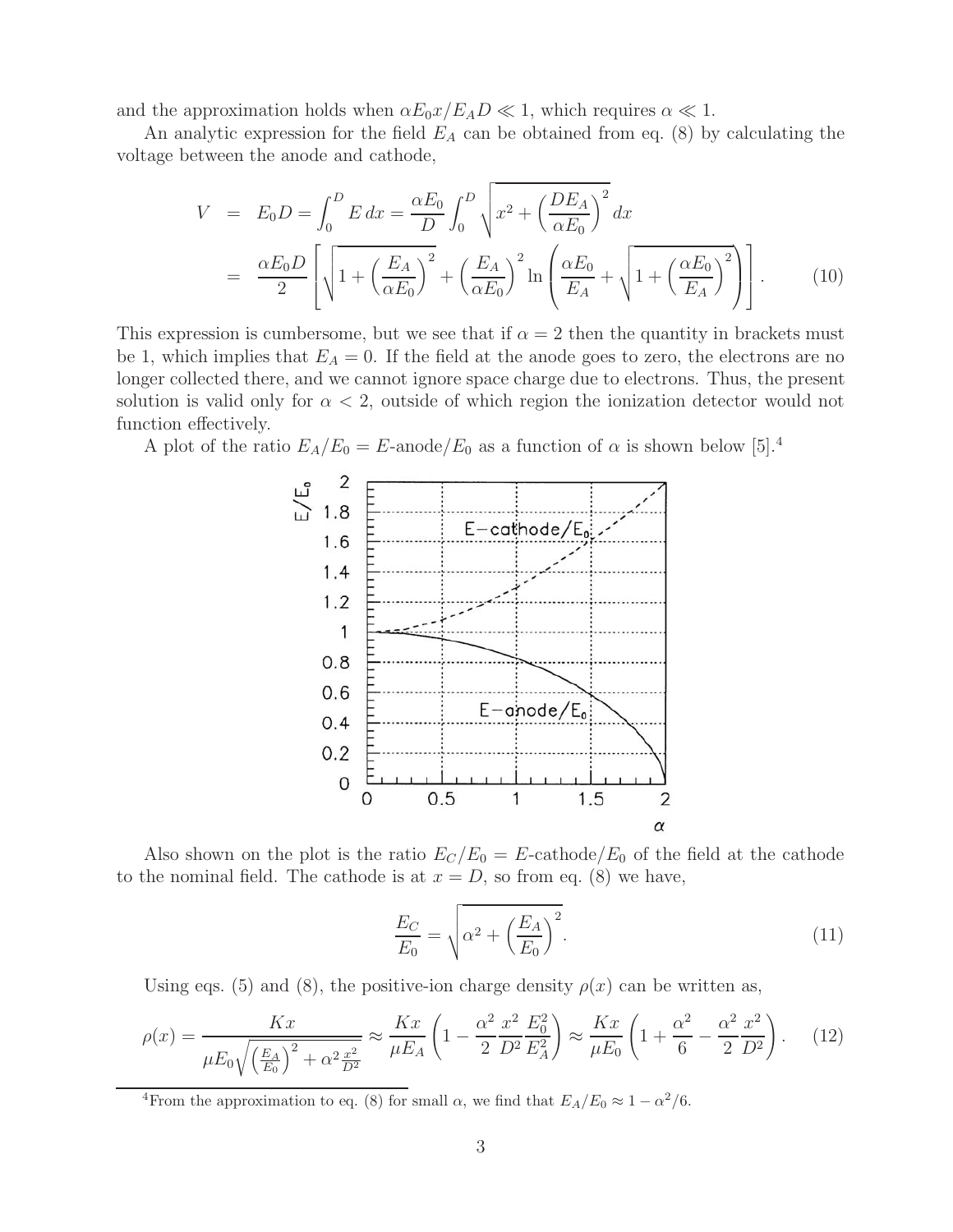and the approximation holds when  $\alpha E_0 x / E_A D \ll 1$ , which requires  $\alpha \ll 1$ .

An analytic expression for the field E*<sup>A</sup>* can be obtained from eq. (8) by calculating the voltage between the anode and cathode,

$$
V = E_0 D = \int_0^D E \, dx = \frac{\alpha E_0}{D} \int_0^D \sqrt{x^2 + \left(\frac{DE_A}{\alpha E_0}\right)^2} \, dx
$$
  
=  $\frac{\alpha E_0 D}{2} \left[ \sqrt{1 + \left(\frac{E_A}{\alpha E_0}\right)^2} + \left(\frac{E_A}{\alpha E_0}\right)^2 \ln \left(\frac{\alpha E_0}{E_A} + \sqrt{1 + \left(\frac{\alpha E_0}{E_A}\right)^2} \right) \right].$  (10)

This expression is cumbersome, but we see that if  $\alpha = 2$  then the quantity in brackets must be 1, which implies that  $E_A = 0$ . If the field at the anode goes to zero, the electrons are no longer collected there, and we cannot ignore space charge due to electrons. Thus, the present solution is valid only for  $\alpha < 2$ , outside of which region the ionization detector would not function effectively.

A plot of the ratio  $E_A/E_0 = E$ -anode/ $E_0$  as a function of  $\alpha$  is shown below [5].<sup>4</sup>



Also shown on the plot is the ratio  $E_C/E_0 = E$ -cathode/ $E_0$  of the field at the cathode to the nominal field. The cathode is at  $x = D$ , so from eq. (8) we have,

$$
\frac{E_C}{E_0} = \sqrt{\alpha^2 + \left(\frac{E_A}{E_0}\right)^2}.\tag{11}
$$

Using eqs. (5) and (8), the positive-ion charge density  $\rho(x)$  can be written as,

$$
\rho(x) = \frac{Kx}{\mu E_0 \sqrt{\left(\frac{E_A}{E_0}\right)^2 + \alpha^2 \frac{x^2}{D^2}}} \approx \frac{Kx}{\mu E_A} \left(1 - \frac{\alpha^2}{2} \frac{x^2}{D^2} \frac{E_0^2}{E_A^2}\right) \approx \frac{Kx}{\mu E_0} \left(1 + \frac{\alpha^2}{6} - \frac{\alpha^2}{2} \frac{x^2}{D^2}\right). \tag{12}
$$

<sup>4</sup>From the approximation to eq. (8) for small  $\alpha$ , we find that  $E_A/E_0 \approx 1 - \alpha^2/6$ .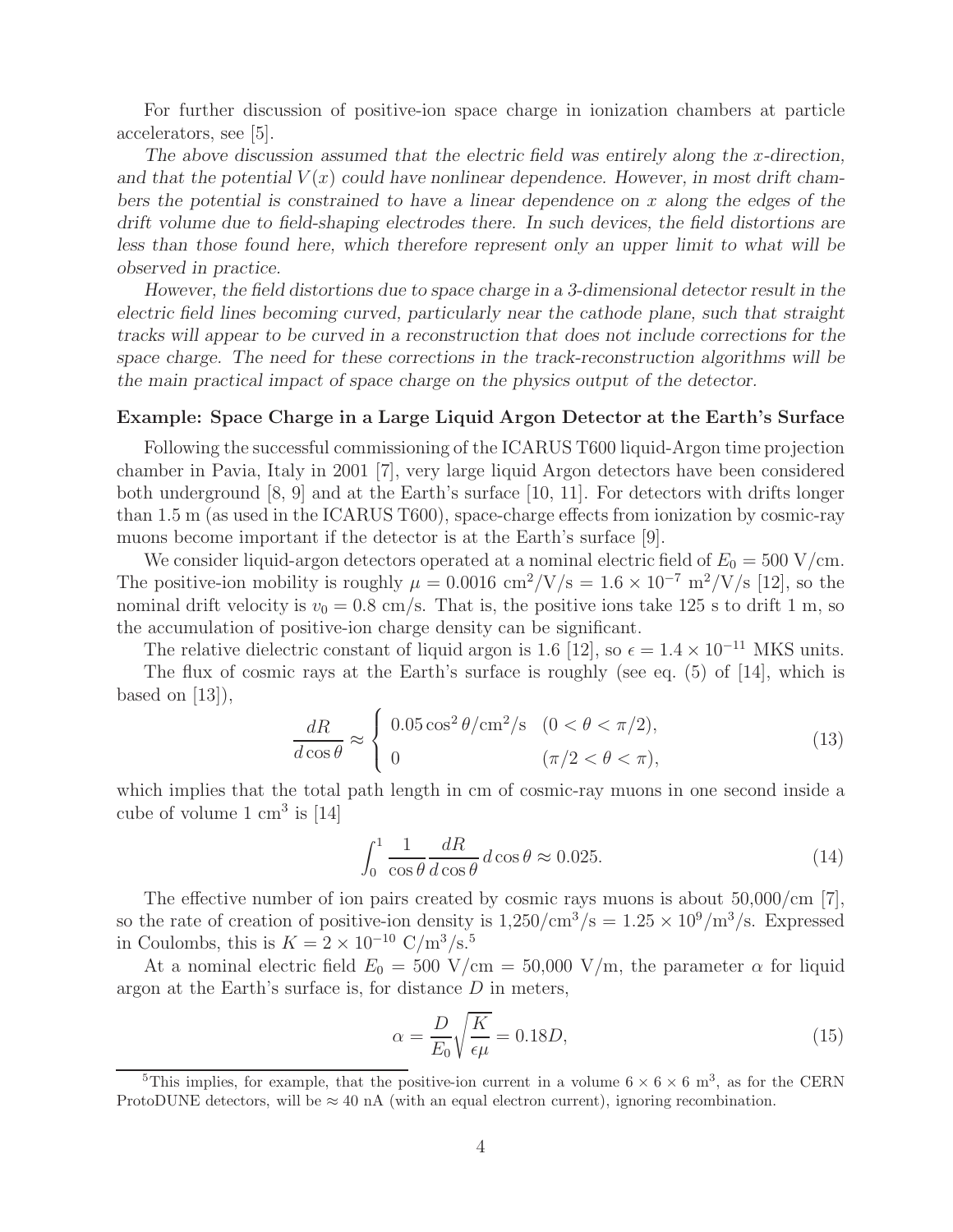For further discussion of positive-ion space charge in ionization chambers at particle accelerators, see [5].

The above discussion assumed that the electric field was entirely along the x-direction, and that the potential  $V(x)$  could have nonlinear dependence. However, in most drift cham*bers the potential is constrained to have a linear dependence on* x *along the edges of the drift volume due to field-shaping electrodes there. In such devices, the field distortions are less than those found here, which therefore represent only an upper limit to what will be observed in practice.*

*However, the field distortions due to space charge in a 3-dimensional detector result in the electric field lines becoming curved, particularly near the cathode plane, such that straight tracks will appear to be curved in a reconstruction that does not include corrections for the space charge. The need for these corrections in the track-reconstruction algorithms will be the main practical impact of space charge on the physics output of the detector.*

#### **Example: Space Charge in a Large Liquid Argon Detector at the Earth's Surface**

Following the successful commissioning of the ICARUS T600 liquid-Argon time projection chamber in Pavia, Italy in 2001 [7], very large liquid Argon detectors have been considered both underground  $[8, 9]$  and at the Earth's surface  $[10, 11]$ . For detectors with drifts longer than 1.5 m (as used in the ICARUS T600), space-charge effects from ionization by cosmic-ray muons become important if the detector is at the Earth's surface [9].

We consider liquid-argon detectors operated at a nominal electric field of  $E_0 = 500$  V/cm. The positive-ion mobility is roughly  $\mu = 0.0016$  cm<sup>2</sup>/V/s =  $1.6 \times 10^{-7}$  m<sup>2</sup>/V/s [12], so the nominal drift velocity is  $v_0 = 0.8$  cm/s. That is, the positive ions take 125 s to drift 1 m, so the accumulation of positive-ion charge density can be significant.

The relative dielectric constant of liquid argon is 1.6 [12], so  $\epsilon = 1.4 \times 10^{-11}$  MKS units.

The flux of cosmic rays at the Earth's surface is roughly (see eq. (5) of [14], which is based on  $[13]$ ,

$$
\frac{dR}{d\cos\theta} \approx \begin{cases} 0.05\cos^2\theta/\text{cm}^2/\text{s} & (0 < \theta < \pi/2), \\ 0 & (\pi/2 < \theta < \pi), \end{cases} \tag{13}
$$

which implies that the total path length in cm of cosmic-ray muons in one second inside a cube of volume  $1 \text{ cm}^3$  is [14]

$$
\int_0^1 \frac{1}{\cos \theta} \frac{dR}{d \cos \theta} d \cos \theta \approx 0.025. \tag{14}
$$

The effective number of ion pairs created by cosmic rays muons is about  $50,000/cm$  [7], so the rate of creation of positive-ion density is  $1,250/cm^3/s = 1.25 \times 10^9/m^3/s$ . Expressed in Coulombs, this is  $K = 2 \times 10^{-10} \text{ C/m}^3/\text{s}^{5}$ .

At a nominal electric field  $E_0 = 500$  V/cm = 50,000 V/m, the parameter  $\alpha$  for liquid argon at the Earth's surface is, for distance  $D$  in meters,

$$
\alpha = \frac{D}{E_0} \sqrt{\frac{K}{\epsilon \mu}} = 0.18D,\tag{15}
$$

<sup>&</sup>lt;sup>5</sup>This implies, for example, that the positive-ion current in a volume  $6 \times 6 \times 6$  m<sup>3</sup>, as for the CERN ProtoDUNE detectors, will be  $\approx 40$  nA (with an equal electron current), ignoring recombination.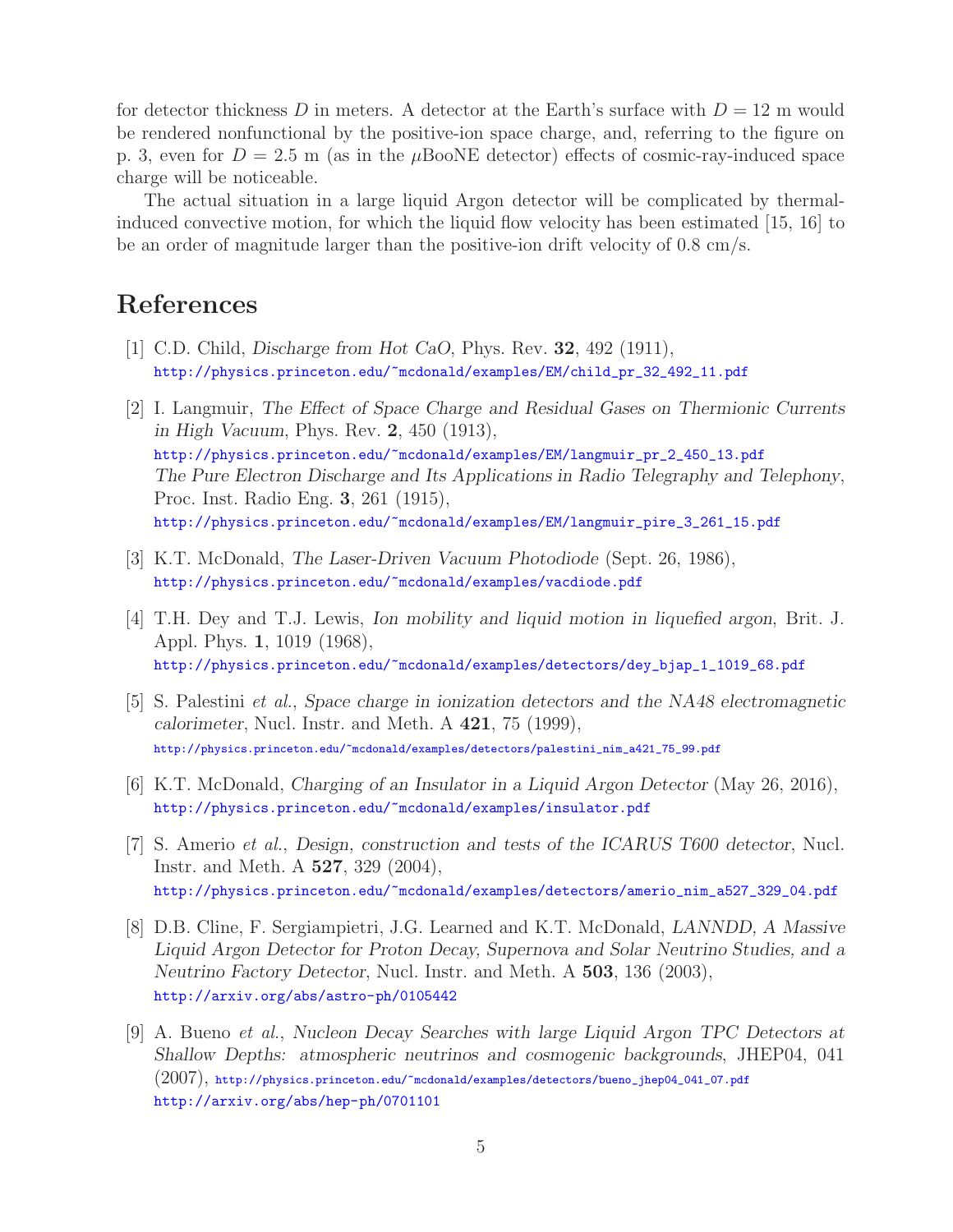for detector thickness D in meters. A detector at the Earth's surface with  $D = 12$  m would be rendered nonfunctional by the positive-ion space charge, and, referring to the figure on p. 3, even for  $D = 2.5$  m (as in the  $\mu$ BooNE detector) effects of cosmic-ray-induced space charge will be noticeable.

The actual situation in a large liquid Argon detector will be complicated by thermalinduced convective motion, for which the liquid flow velocity has been estimated [15, 16] to be an order of magnitude larger than the positive-ion drift velocity of 0.8 cm/s.

# **References**

- [1] C.D. Child, *Discharge from Hot CaO*, Phys. Rev. **32**, 492 (1911), http://physics.princeton.edu/~mcdonald/examples/EM/child\_pr\_32\_492\_11.pdf
- [2] I. Langmuir, *The Effect of Space Charge and Residual Gases on Thermionic Currents in High Vacuum*, Phys. Rev. **2**, 450 (1913), http://physics.princeton.edu/~mcdonald/examples/EM/langmuir\_pr\_2\_450\_13.pdf *The Pure Electron Discharge and Its Applications in Radio Telegraphy and Telephony*, Proc. Inst. Radio Eng. **3**, 261 (1915), http://physics.princeton.edu/~mcdonald/examples/EM/langmuir\_pire\_3\_261\_15.pdf
- [3] K.T. McDonald, *The Laser-Driven Vacuum Photodiode* (Sept. 26, 1986), http://physics.princeton.edu/~mcdonald/examples/vacdiode.pdf
- [4] T.H. Dey and T.J. Lewis, *Ion mobility and liquid motion in liquefied argon*, Brit. J. Appl. Phys. **1**, 1019 (1968), http://physics.princeton.edu/~mcdonald/examples/detectors/dey\_bjap\_1\_1019\_68.pdf
- [5] S. Palestini *et al.*, *Space charge in ionization detectors and the NA48 electromagnetic calorimeter*, Nucl. Instr. and Meth. A **421**, 75 (1999), http://physics.princeton.edu/~mcdonald/examples/detectors/palestini\_nim\_a421\_75\_99.pdf
- [6] K.T. McDonald, *Charging of an Insulator in a Liquid Argon Detector* (May 26, 2016), http://physics.princeton.edu/~mcdonald/examples/insulator.pdf
- [7] S. Amerio *et al.*, *Design, construction and tests of the ICARUS T600 detector*, Nucl. Instr. and Meth. A **527**, 329 (2004), http://physics.princeton.edu/~mcdonald/examples/detectors/amerio\_nim\_a527\_329\_04.pdf
- [8] D.B. Cline, F. Sergiampietri, J.G. Learned and K.T. McDonald, *LANNDD, A Massive Liquid Argon Detector for Proton Decay, Supernova and Solar Neutrino Studies, and a Neutrino Factory Detector*, Nucl. Instr. and Meth. A **503**, 136 (2003), http://arxiv.org/abs/astro-ph/0105442
- [9] A. Bueno *et al.*, *Nucleon Decay Searches with large Liquid Argon TPC Detectors at Shallow Depths: atmospheric neutrinos and cosmogenic backgrounds*, JHEP04, 041 (2007), http://physics.princeton.edu/~mcdonald/examples/detectors/bueno\_jhep04\_041\_07.pdf http://arxiv.org/abs/hep-ph/0701101